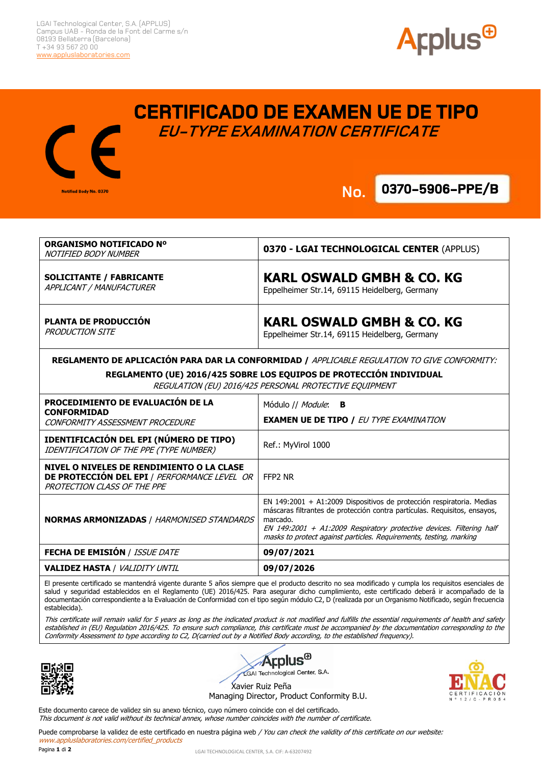**Notified Body No. 0370** 





**CERTIFICADO DE EXAMEN UE DE TIPO EU-TYPE EXAMINATION CERTIFICATE**

**.**

**No. 0370-5906-PPE/B No.**

| ORGANISMO NOTIFICADO Nº<br><b>NOTIFIED BODY NUMBER</b>                                                                        | 0370 - LGAI TECHNOLOGICAL CENTER (APPLUS)                                                                                                                                                                                                                                                                    |
|-------------------------------------------------------------------------------------------------------------------------------|--------------------------------------------------------------------------------------------------------------------------------------------------------------------------------------------------------------------------------------------------------------------------------------------------------------|
| <b>SOLICITANTE / FABRICANTE</b><br>APPLICANT / MANUFACTURER                                                                   | <b>KARL OSWALD GMBH &amp; CO. KG</b><br>Eppelheimer Str.14, 69115 Heidelberg, Germany                                                                                                                                                                                                                        |
| PLANTA DE PRODUCCIÓN<br><b>PRODUCTION SITE</b>                                                                                | <b>KARL OSWALD GMBH &amp; CO. KG</b><br>Eppelheimer Str.14, 69115 Heidelberg, Germany                                                                                                                                                                                                                        |
| REGLAMENTO DE APLICACIÓN PARA DAR LA CONFORMIDAD / APPLICABLE REGULATION TO GIVE CONFORMITY:                                  |                                                                                                                                                                                                                                                                                                              |
| REGLAMENTO (UE) 2016/425 SOBRE LOS EQUIPOS DE PROTECCIÓN INDIVIDUAL<br>REGULATION (EU) 2016/425 PERSONAL PROTECTIVE EQUIPMENT |                                                                                                                                                                                                                                                                                                              |
| PROCEDIMIENTO DE EVALUACIÓN DE LA<br><b>CONFORMIDAD</b>                                                                       | Módulo // Module: B                                                                                                                                                                                                                                                                                          |
| CONFORMITY ASSESSMENT PROCEDURE                                                                                               | <b>EXAMEN UE DE TIPO / EU TYPE EXAMINATION</b>                                                                                                                                                                                                                                                               |
| <b>IDENTIFICACIÓN DEL EPI (NÚMERO DE TIPO)</b><br>IDENTIFICATION OF THE PPE (TYPE NUMBER)                                     | Ref.: MyVirol 1000                                                                                                                                                                                                                                                                                           |
| NIVEL O NIVELES DE RENDIMIENTO O LA CLASE<br>DE PROTECCIÓN DEL EPI / PERFORMANCE LEVEL OR<br>PROTECTION CLASS OF THE PPE      | FFP <sub>2</sub> NR                                                                                                                                                                                                                                                                                          |
| <b>NORMAS ARMONIZADAS / HARMONISED STANDARDS</b>                                                                              | EN 149:2001 + A1:2009 Dispositivos de protección respiratoria. Medias<br>máscaras filtrantes de protección contra partículas. Requisitos, ensayos,<br>marcado.<br>EN 149:2001 + A1:2009 Respiratory protective devices. Filtering half<br>masks to protect against particles. Requirements, testing, marking |
| <b>FECHA DE EMISIÓN / ISSUE DATE</b>                                                                                          | 09/07/2021                                                                                                                                                                                                                                                                                                   |
| <b>VALIDEZ HASTA / VALIDITY UNTIL</b>                                                                                         | 09/07/2026                                                                                                                                                                                                                                                                                                   |

El presente certificado se mantendrá vigente durante 5 años siempre que el producto descrito no sea modificado y cumpla los requisitos esenciales de salud y seguridad establecidos en el Reglamento (UE) 2016/425. Para asegurar dicho cumplimiento, este certificado deberá ir acompañado de la documentación correspondiente a la Evaluación de Conformidad con el tipo según módulo C2, D (realizada por un Organismo Notificado, según frecuencia establecida).

This certificate will remain valid for 5 years as long as the indicated product is not modified and fulfills the essential requirements of health and safety established in (EU) Regulation 2016/425. To ensure such compliance, this certificate must be accompanied by the documentation corresponding to the Conformity Assessment to type according to C2, D(carried out by a Notified Body according, to the established frequency).



**Applus**<sup>®</sup> LGAI Technological Center, S.A. Xavier Ruiz Peña

Managing Director, Product Conformity B.U.

Este documento carece de validez sin su anexo técnico, cuyo número coincide con el del certificado. This document is not valid without its technical annex, whose number coincides with the number of certificate.

Puede comprobarse la validez de este certificado en nuestra página web / You can check the validity of this certificate on our website: www.appluslaboratories.com/certified\_products